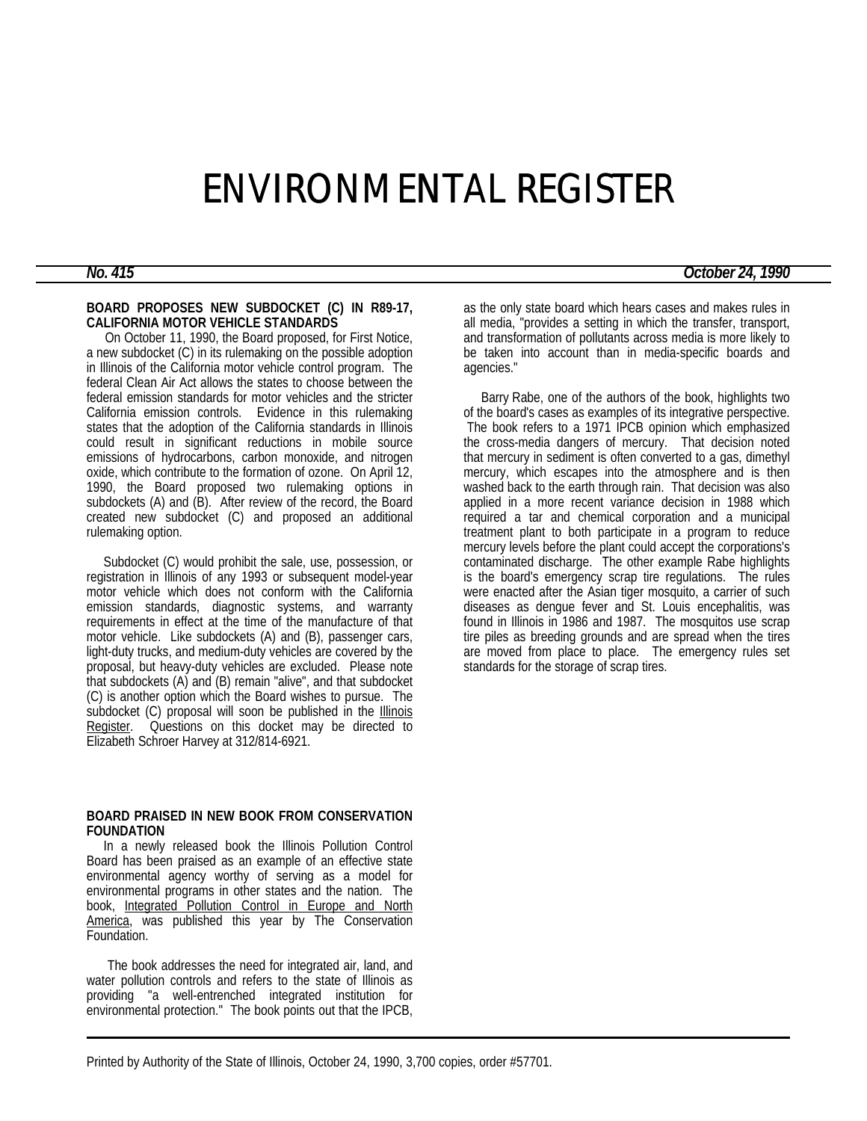# ENVIRONMENTAL REGISTER

## **BOARD PROPOSES NEW SUBDOCKET (C) IN R89-17, CALIFORNIA MOTOR VEHICLE STANDARDS**

 On October 11, 1990, the Board proposed, for First Notice, a new subdocket (C) in its rulemaking on the possible adoption in Illinois of the California motor vehicle control program. The federal Clean Air Act allows the states to choose between the federal emission standards for motor vehicles and the stricter California emission controls. Evidence in this rulemaking states that the adoption of the California standards in Illinois could result in significant reductions in mobile source emissions of hydrocarbons, carbon monoxide, and nitrogen oxide, which contribute to the formation of ozone. On April 12, 1990, the Board proposed two rulemaking options in subdockets (A) and (B). After review of the record, the Board created new subdocket (C) and proposed an additional rulemaking option.

 Subdocket (C) would prohibit the sale, use, possession, or registration in Illinois of any 1993 or subsequent model-year motor vehicle which does not conform with the California emission standards, diagnostic systems, and warranty requirements in effect at the time of the manufacture of that motor vehicle. Like subdockets (A) and (B), passenger cars, light-duty trucks, and medium-duty vehicles are covered by the proposal, but heavy-duty vehicles are excluded. Please note that subdockets (A) and (B) remain "alive", and that subdocket (C) is another option which the Board wishes to pursue. The subdocket (C) proposal will soon be published in the **Illinois** Register. Questions on this docket may be directed to Elizabeth Schroer Harvey at 312/814-6921.

### **BOARD PRAISED IN NEW BOOK FROM CONSERVATION FOUNDATION**

 In a newly released book the Illinois Pollution Control Board has been praised as an example of an effective state environmental agency worthy of serving as a model for environmental programs in other states and the nation. The book, Integrated Pollution Control in Europe and North America, was published this year by The Conservation Foundation.

 The book addresses the need for integrated air, land, and water pollution controls and refers to the state of Illinois as providing "a well-entrenched integrated institution for environmental protection." The book points out that the IPCB,

as the only state board which hears cases and makes rules in all media, "provides a setting in which the transfer, transport, and transformation of pollutants across media is more likely to be taken into account than in media-specific boards and agencies."

 Barry Rabe, one of the authors of the book, highlights two of the board's cases as examples of its integrative perspective. The book refers to a 1971 IPCB opinion which emphasized the cross-media dangers of mercury. That decision noted that mercury in sediment is often converted to a gas, dimethyl mercury, which escapes into the atmosphere and is then washed back to the earth through rain. That decision was also applied in a more recent variance decision in 1988 which required a tar and chemical corporation and a municipal treatment plant to both participate in a program to reduce mercury levels before the plant could accept the corporations's contaminated discharge. The other example Rabe highlights is the board's emergency scrap tire regulations. The rules were enacted after the Asian tiger mosquito, a carrier of such diseases as dengue fever and St. Louis encephalitis, was found in Illinois in 1986 and 1987. The mosquitos use scrap tire piles as breeding grounds and are spread when the tires are moved from place to place. The emergency rules set standards for the storage of scrap tires.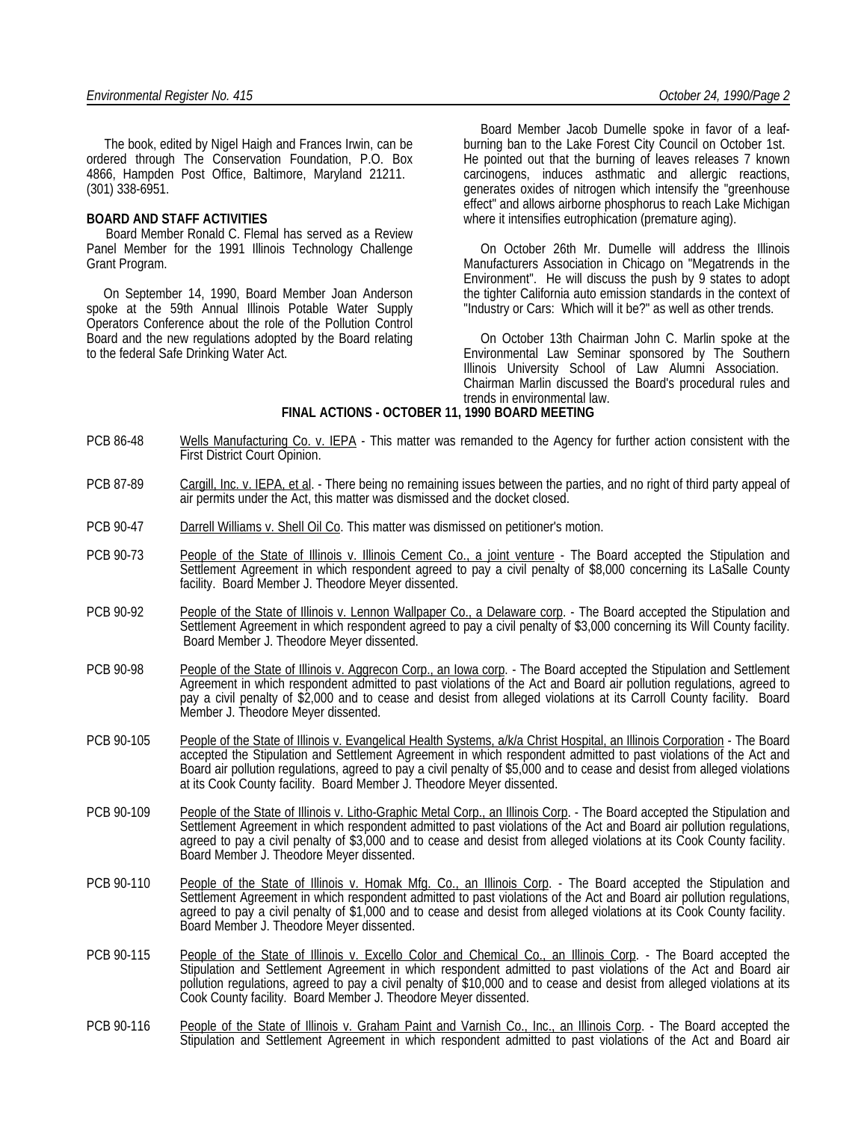The book, edited by Nigel Haigh and Frances Irwin, can be ordered through The Conservation Foundation, P.O. Box 4866, Hampden Post Office, Baltimore, Maryland 21211. (301) 338-6951.

#### **BOARD AND STAFF ACTIVITIES**

 Board Member Ronald C. Flemal has served as a Review Panel Member for the 1991 Illinois Technology Challenge Grant Program.

 On September 14, 1990, Board Member Joan Anderson spoke at the 59th Annual Illinois Potable Water Supply Operators Conference about the role of the Pollution Control Board and the new regulations adopted by the Board relating to the federal Safe Drinking Water Act.

 Board Member Jacob Dumelle spoke in favor of a leafburning ban to the Lake Forest City Council on October 1st. He pointed out that the burning of leaves releases 7 known carcinogens, induces asthmatic and allergic reactions, generates oxides of nitrogen which intensify the "greenhouse effect" and allows airborne phosphorus to reach Lake Michigan where it intensifies eutrophication (premature aging).

 On October 26th Mr. Dumelle will address the Illinois Manufacturers Association in Chicago on "Megatrends in the Environment". He will discuss the push by 9 states to adopt the tighter California auto emission standards in the context of "Industry or Cars: Which will it be?" as well as other trends.

 On October 13th Chairman John C. Marlin spoke at the Environmental Law Seminar sponsored by The Southern Illinois University School of Law Alumni Association. Chairman Marlin discussed the Board's procedural rules and trends in environmental law.

## **FINAL ACTIONS - OCTOBER 11, 1990 BOARD MEETING**

- PCB 86-48 Wells Manufacturing Co. v. IEPA This matter was remanded to the Agency for further action consistent with the First District Court Opinion.
- PCB 87-89 Cargill, Inc. v. IEPA, et al. There being no remaining issues between the parties, and no right of third party appeal of air permits under the Act, this matter was dismissed and the docket closed.
- PCB 90-47 Darrell Williams v. Shell Oil Co. This matter was dismissed on petitioner's motion.
- PCB 90-73 People of the State of Illinois v. Illinois Cement Co., a joint venture The Board accepted the Stipulation and Settlement Agreement in which respondent agreed to pay a civil penalty of \$8,000 concerning its LaSalle County facility. Board Member J. Theodore Meyer dissented.
- PCB 90-92 People of the State of Illinois v. Lennon Wallpaper Co., a Delaware corp. The Board accepted the Stipulation and Settlement Agreement in which respondent agreed to pay a civil penalty of \$3,000 concerning its Will County facility. Board Member J. Theodore Meyer dissented.
- PCB 90-98 People of the State of Illinois v. Aggrecon Corp., an Iowa corp. The Board accepted the Stipulation and Settlement Agreement in which respondent admitted to past violations of the Act and Board air pollution regulations, agreed to pay a civil penalty of \$2,000 and to cease and desist from alleged violations at its Carroll County facility. Board Member J. Theodore Meyer dissented.
- PCB 90-105 People of the State of Illinois v. Evangelical Health Systems, a/k/a Christ Hospital, an Illinois Corporation The Board accepted the Stipulation and Settlement Agreement in which respondent admitted to past violations of the Act and Board air pollution regulations, agreed to pay a civil penalty of \$5,000 and to cease and desist from alleged violations at its Cook County facility. Board Member J. Theodore Meyer dissented.
- PCB 90-109 People of the State of Illinois v. Litho-Graphic Metal Corp., an Illinois Corp. The Board accepted the Stipulation and Settlement Agreement in which respondent admitted to past violations of the Act and Board air pollution regulations, agreed to pay a civil penalty of \$3,000 and to cease and desist from alleged violations at its Cook County facility. Board Member J. Theodore Meyer dissented.
- PCB 90-110 People of the State of Illinois v. Homak Mfg. Co., an Illinois Corp. The Board accepted the Stipulation and Settlement Agreement in which respondent admitted to past violations of the Act and Board air pollution regulations, agreed to pay a civil penalty of \$1,000 and to cease and desist from alleged violations at its Cook County facility. Board Member J. Theodore Meyer dissented.
- PCB 90-115 People of the State of Illinois v. Excello Color and Chemical Co., an Illinois Corp. The Board accepted the Stipulation and Settlement Agreement in which respondent admitted to past violations of the Act and Board air pollution regulations, agreed to pay a civil penalty of \$10,000 and to cease and desist from alleged violations at its Cook County facility. Board Member J. Theodore Meyer dissented.
- PCB 90-116 People of the State of Illinois v. Graham Paint and Varnish Co., Inc., an Illinois Corp. The Board accepted the Stipulation and Settlement Agreement in which respondent admitted to past violations of the Act and Board air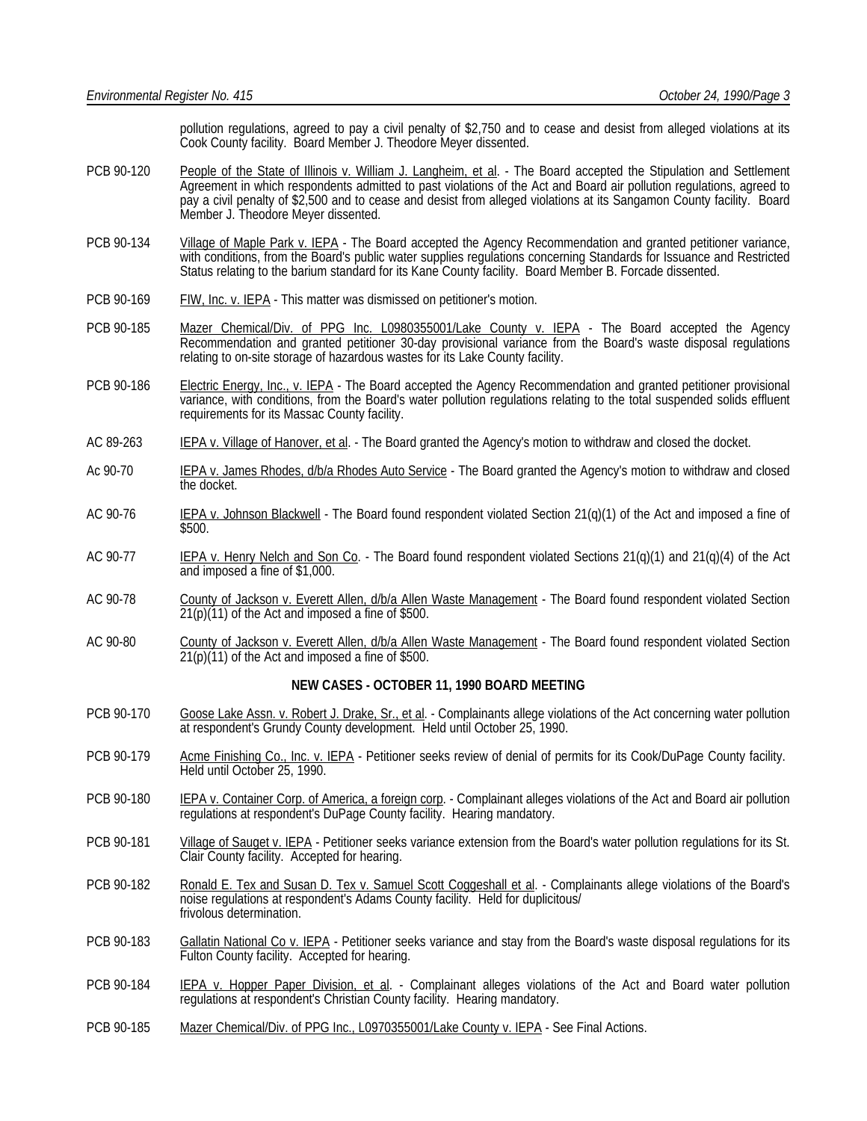pollution regulations, agreed to pay a civil penalty of \$2,750 and to cease and desist from alleged violations at its Cook County facility. Board Member J. Theodore Meyer dissented.

- PCB 90-120 People of the State of Illinois v. William J. Langheim, et al. The Board accepted the Stipulation and Settlement Agreement in which respondents admitted to past violations of the Act and Board air pollution regulations, agreed to pay a civil penalty of \$2,500 and to cease and desist from alleged violations at its Sangamon County facility. Board Member J. Theodore Meyer dissented.
- PCB 90-134 Village of Maple Park v. IEPA The Board accepted the Agency Recommendation and granted petitioner variance, with conditions, from the Board's public water supplies regulations concerning Standards for Issuance and Restricted Status relating to the barium standard for its Kane County facility. Board Member B. Forcade dissented.
- PCB 90-169 FIW, Inc. v. IEPA This matter was dismissed on petitioner's motion.
- PCB 90-185 Mazer Chemical/Div. of PPG Inc. L0980355001/Lake County v. IEPA The Board accepted the Agency Recommendation and granted petitioner 30-day provisional variance from the Board's waste disposal regulations relating to on-site storage of hazardous wastes for its Lake County facility.
- PCB 90-186 Electric Energy, Inc., v. IEPA The Board accepted the Agency Recommendation and granted petitioner provisional variance, with conditions, from the Board's water pollution regulations relating to the total suspended solids effluent requirements for its Massac County facility.
- AC 89-263 **IEPA v. Village of Hanover, et al.** The Board granted the Agency's motion to withdraw and closed the docket.
- Ac 90-70 IEPA v. James Rhodes, d/b/a Rhodes Auto Service The Board granted the Agency's motion to withdraw and closed the docket.
- AC 90-76 IEPA v. Johnson Blackwell The Board found respondent violated Section 21(q)(1) of the Act and imposed a fine of \$500.
- AC 90-77 IEPA v. Henry Nelch and Son Co. The Board found respondent violated Sections 21(q)(1) and 21(q)(4) of the Act and imposed a fine of \$1,000.
- AC 90-78 County of Jackson v. Everett Allen, d/b/a Allen Waste Management The Board found respondent violated Section  $21(p)(11)$  of the Act and imposed a fine of \$500.
- AC 90-80 County of Jackson v. Everett Allen, d/b/a Allen Waste Management The Board found respondent violated Section 21(p)(11) of the Act and imposed a fine of \$500.

## **NEW CASES - OCTOBER 11, 1990 BOARD MEETING**

- PCB 90-170 Goose Lake Assn. v. Robert J. Drake, Sr., et al. Complainants allege violations of the Act concerning water pollution at respondent's Grundy County development. Held until October 25, 1990.
- PCB 90-179 Acme Finishing Co., Inc. v. IEPA Petitioner seeks review of denial of permits for its Cook/DuPage County facility. Held until October 25, 1990.
- PCB 90-180 IEPA v. Container Corp. of America, a foreign corp. Complainant alleges violations of the Act and Board air pollution regulations at respondent's DuPage County facility. Hearing mandatory.
- PCB 90-181 Village of Sauget v. IEPA Petitioner seeks variance extension from the Board's water pollution regulations for its St. Clair County facility. Accepted for hearing.
- PCB 90-182 Ronald E. Tex and Susan D. Tex v. Samuel Scott Coggeshall et al. Complainants allege violations of the Board's noise regulations at respondent's Adams County facility. Held for duplicitous/ frivolous determination.
- PCB 90-183 Gallatin National Co v. IEPA Petitioner seeks variance and stay from the Board's waste disposal regulations for its Fulton County facility. Accepted for hearing.
- PCB 90-184 IEPA v. Hopper Paper Division, et al. Complainant alleges violations of the Act and Board water pollution regulations at respondent's Christian County facility. Hearing mandatory.
- PCB 90-185 Mazer Chemical/Div. of PPG Inc., L0970355001/Lake County v. IEPA See Final Actions.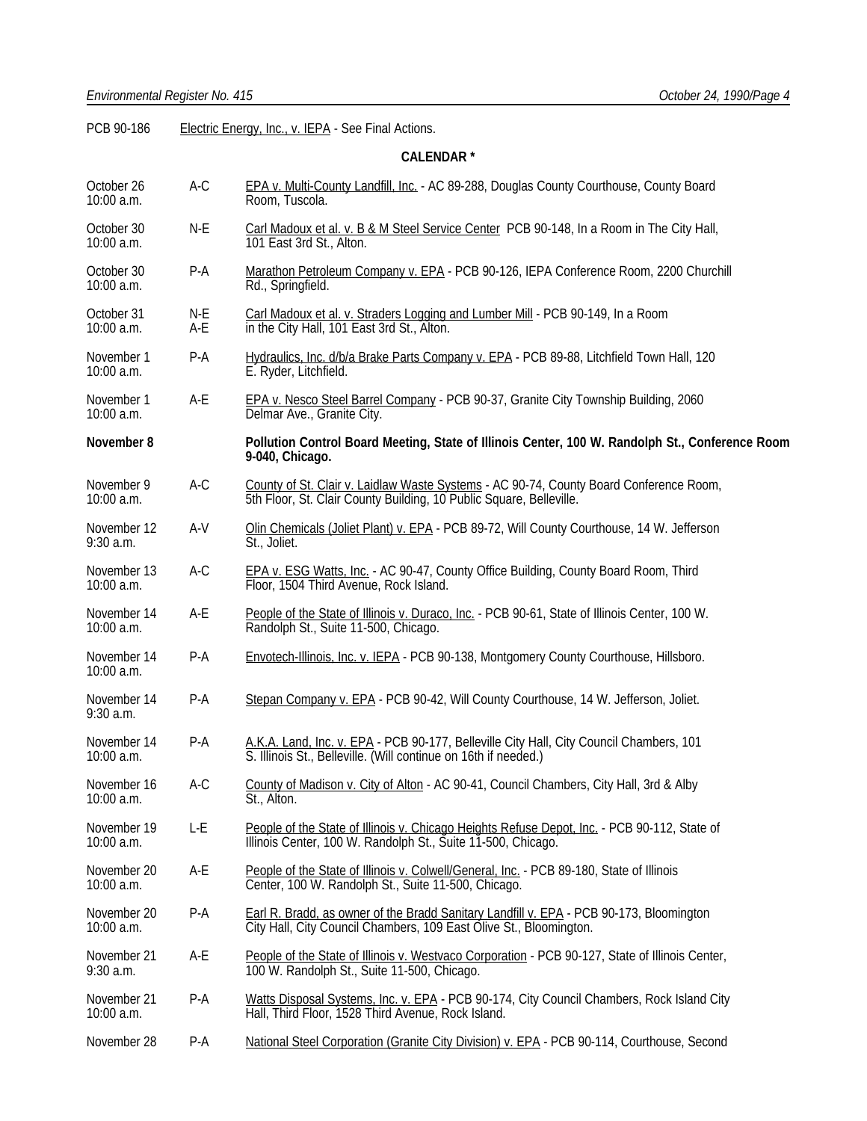PCB 90-186 Electric Energy, Inc., v. IEPA - See Final Actions.

## **CALENDAR \***

| October 26<br>10:00 a.m.    | A-C        | EPA v. Multi-County Landfill, Inc. - AC 89-288, Douglas County Courthouse, County Board<br>Room, Tuscola.                                                     |  |
|-----------------------------|------------|---------------------------------------------------------------------------------------------------------------------------------------------------------------|--|
| October 30<br>10:00 a.m.    | N-E        | Carl Madoux et al. v. B & M Steel Service Center PCB 90-148, In a Room in The City Hall,<br>101 East 3rd St., Alton.                                          |  |
| October 30<br>10:00 a.m.    | P-A        | Marathon Petroleum Company v. EPA - PCB 90-126, IEPA Conference Room, 2200 Churchill<br>Rd., Springfield.                                                     |  |
| October 31<br>10:00 a.m.    | N-E<br>A-E | Carl Madoux et al. v. Straders Logging and Lumber Mill - PCB 90-149, In a Room<br>in the City Hall, 101 East 3rd St., Alton.                                  |  |
| November 1<br>10:00 a.m.    | $P-A$      | Hydraulics, Inc. d/b/a Brake Parts Company v. EPA - PCB 89-88, Litchfield Town Hall, 120<br>E. Ryder, Litchfield.                                             |  |
| November 1<br>10:00 a.m.    | A-E        | <b>EPA v. Nesco Steel Barrel Company - PCB 90-37, Granite City Township Building, 2060</b><br>Delmar Ave., Granite City.                                      |  |
| November 8                  |            | Pollution Control Board Meeting, State of Illinois Center, 100 W. Randolph St., Conference Room<br>9-040, Chicago.                                            |  |
| November 9<br>10:00 a.m.    | $A-C$      | County of St. Clair v. Laidlaw Waste Systems - AC 90-74, County Board Conference Room,<br>5th Floor, St. Clair County Building, 10 Public Square, Belleville. |  |
| November 12<br>$9:30$ a.m.  | A-V        | Olin Chemicals (Joliet Plant) v. EPA - PCB 89-72, Will County Courthouse, 14 W. Jefferson<br>St., Joliet.                                                     |  |
| November 13<br>10:00 a.m.   | $A-C$      | EPA v. ESG Watts, Inc. - AC 90-47, County Office Building, County Board Room, Third<br>Floor, 1504 Third Avenue, Rock Island.                                 |  |
| November 14<br>10:00 a.m.   | A-E        | People of the State of Illinois v. Duraco, Inc. - PCB 90-61, State of Illinois Center, 100 W.<br>Randolph St., Suite 11-500, Chicago.                         |  |
| November 14<br>10:00 a.m.   | $P-A$      | Envotech-Illinois, Inc. v. IEPA - PCB 90-138, Montgomery County Courthouse, Hillsboro.                                                                        |  |
| November 14<br>9:30 a.m.    | $P-A$      | Stepan Company v. EPA - PCB 90-42, Will County Courthouse, 14 W. Jefferson, Joliet.                                                                           |  |
| November 14<br>10:00 a.m.   | P-A        | A.K.A. Land, Inc. v. EPA - PCB 90-177, Belleville City Hall, City Council Chambers, 101<br>S. Illinois St., Belleville. (Will continue on 16th if needed.)    |  |
| November 16<br>10:00 a.m.   | $A-C$      | County of Madison v. City of Alton - AC 90-41, Council Chambers, City Hall, 3rd & Alby<br>St., Alton.                                                         |  |
| November 19<br>$10:00$ a.m. | L-E        | People of the State of Illinois v. Chicago Heights Refuse Depot, Inc. - PCB 90-112, State of<br>Illinois Center, 100 W. Randolph St., Šuite 11-500, Chicago.  |  |
| November 20<br>$10:00$ a.m. | A-E        | People of the State of Illinois v. Colwell/General, Inc. - PCB 89-180, State of Illinois<br>Center, 100 W. Randolph St., Suite 11-500, Chicago.               |  |
| November 20<br>10:00 a.m.   | P-A        | Earl R. Bradd, as owner of the Bradd Sanitary Landfill v. EPA - PCB 90-173, Bloomington<br>City Hall, City Council Chambers, 109 East Olive St., Bloomington. |  |
| November 21<br>$9:30$ a.m.  | A-E        | People of the State of Illinois v. Westvaco Corporation - PCB 90-127, State of Illinois Center,<br>100 W. Randolph St., Suite 11-500, Chicago.                |  |
| November 21<br>10:00 a.m.   | P-A        | Watts Disposal Systems, Inc. v. EPA - PCB 90-174, City Council Chambers, Rock Island City<br>Hall, Third Floor, 1528 Third Avenue, Rock Island.               |  |
| November 28                 | P-A        | National Steel Corporation (Granite City Division) v. EPA - PCB 90-114, Courthouse, Second                                                                    |  |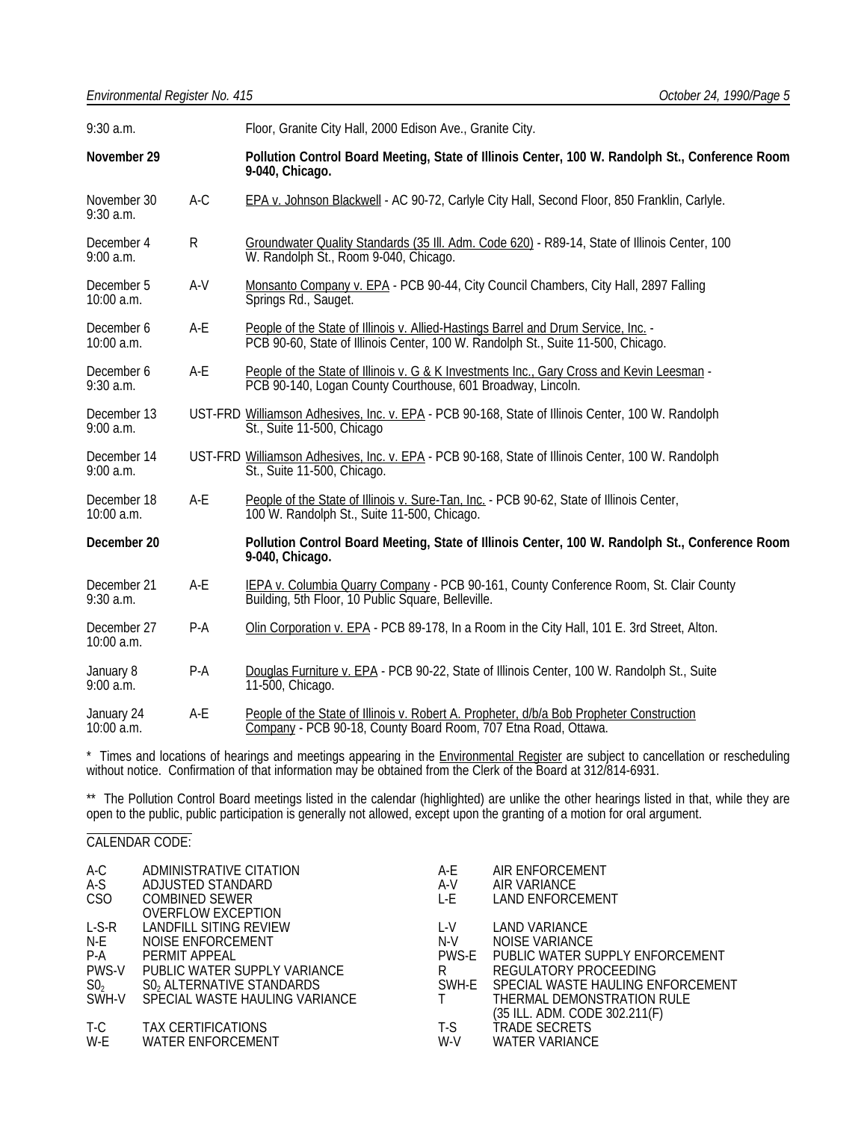| 9:30 a.m.                  |              | Floor, Granite City Hall, 2000 Edison Ave., Granite City.                                                                                                              |  |
|----------------------------|--------------|------------------------------------------------------------------------------------------------------------------------------------------------------------------------|--|
| November 29                |              | Pollution Control Board Meeting, State of Illinois Center, 100 W. Randolph St., Conference Room<br>9-040, Chicago.                                                     |  |
| November 30<br>$9:30$ a.m. | $A-C$        | EPA v. Johnson Blackwell - AC 90-72, Carlyle City Hall, Second Floor, 850 Franklin, Carlyle.                                                                           |  |
| December 4<br>$9:00$ a.m.  | $\mathsf{R}$ | Groundwater Quality Standards (35 III. Adm. Code 620) - R89-14, State of Illinois Center, 100<br>W. Randolph St., Room 9-040, Chicago.                                 |  |
| December 5<br>$10:00$ a.m. | $A-V$        | Monsanto Company v. EPA - PCB 90-44, City Council Chambers, City Hall, 2897 Falling<br>Springs Rd., Sauget.                                                            |  |
| December 6<br>10:00 a.m.   | A-E          | People of the State of Illinois v. Allied-Hastings Barrel and Drum Service, Inc. -<br>PCB 90-60, State of Illinois Center, 100 W. Randolph St., Suite 11-500, Chicago. |  |
| December 6<br>9:30 a.m.    | A-E          | People of the State of Illinois v. G & K Investments Inc., Gary Cross and Kevin Leesman -<br>PCB 90-140, Logan County Courthouse, 601 Broadway, Lincoln.               |  |
| December 13<br>$9:00$ a.m. |              | UST-FRD Williamson Adhesives, Inc. v. EPA - PCB 90-168, State of Illinois Center, 100 W. Randolph<br>St., Suite 11-500, Chicago                                        |  |
| December 14<br>9:00 a.m.   |              | UST-FRD Williamson Adhesives, Inc. v. EPA - PCB 90-168, State of Illinois Center, 100 W. Randolph<br>St., Suite 11-500, Chicago.                                       |  |
| December 18<br>10:00 a.m.  | $A-E$        | People of the State of Illinois v. Sure-Tan, Inc. - PCB 90-62, State of Illinois Center,<br>100 W. Randolph St., Suite 11-500, Chicago.                                |  |
| December 20                |              | Pollution Control Board Meeting, State of Illinois Center, 100 W. Randolph St., Conference Room<br>9-040, Chicago.                                                     |  |
| December 21<br>$9:30$ a.m. | A-E          | IEPA v. Columbia Quarry Company - PCB 90-161, County Conference Room, St. Clair County<br>Building, 5th Floor, 10 Public Square, Belleville.                           |  |
| December 27<br>10:00 a.m.  | $P-A$        | Olin Corporation v. EPA - PCB 89-178, In a Room in the City Hall, 101 E. 3rd Street, Alton.                                                                            |  |
| January 8<br>9:00 a.m.     | $P-A$        | Douglas Furniture v. EPA - PCB 90-22, State of Illinois Center, 100 W. Randolph St., Suite<br>11-500, Chicago.                                                         |  |
| January 24<br>10:00 a.m.   | A-E          | People of the State of Illinois v. Robert A. Propheter, d/b/a Bob Propheter Construction<br>Company - PCB 90-18, County Board Room, 707 Etna Road, Ottawa.             |  |

\* Times and locations of hearings and meetings appearing in the **Environmental Register** are subject to cancellation or rescheduling without notice. Confirmation of that information may be obtained from the Clerk of the Board at 312/814-6931.

\*\* The Pollution Control Board meetings listed in the calendar (highlighted) are unlike the other hearings listed in that, while they are open to the public, public participation is generally not allowed, except upon the granting of a motion for oral argument. l

### CALENDAR CODE:

| A-C<br>A-S      | ADMINISTRATIVE CITATION<br>ADJUSTED STANDARD       | A-E<br>A-V | AIR ENFORCEMENT<br>AIR VARIANCE   |
|-----------------|----------------------------------------------------|------------|-----------------------------------|
| CSO             | <b>COMBINED SEWER</b><br><b>OVERFLOW EXCEPTION</b> | L-E        | LAND ENFORCEMENT                  |
| $L-S-R$         | LANDFILL SITING REVIEW                             | L-V        | <b>LAND VARIANCE</b>              |
| N-E             | NOISE ENFORCEMENT                                  | $N-V$      | NOISE VARIANCE                    |
| $P-A$           | PERMIT APPEAL                                      | PWS-E      | PUBLIC WATER SUPPLY ENFORCEMENT   |
| PWS-V           | PUBLIC WATER SUPPLY VARIANCE                       | R          | REGULATORY PROCEEDING             |
| SO <sub>2</sub> | S0, ALTERNATIVE STANDARDS                          | SWH-E      | SPECIAL WASTE HAULING ENFORCEMENT |
| SWH-V           | SPECIAL WASTE HAULING VARIANCE                     | $\top$     | THERMAL DEMONSTRATION RULE        |
|                 |                                                    |            | (35 ILL. ADM. CODE 302.211(F)     |
| T-C             | TAX CERTIFICATIONS                                 | T-S        | TRADE SECRETS                     |
| W-E             | <b>WATER ENFORCEMENT</b>                           | W-V        | WATER VARIANCE                    |